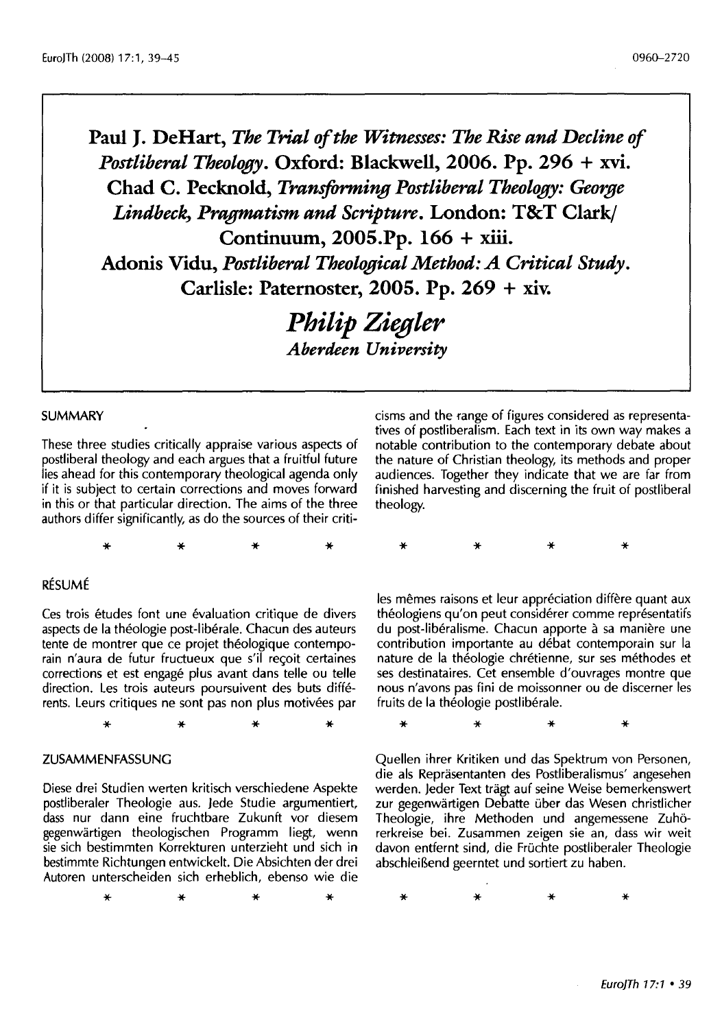**Paul J. DeHart,** *The Trial of the Witnesses: The Rise and Decline of Postliberal Theology.* **Oxford: Blackwell, 2006. Pp. 296 + xvi. Chad C. Pecknold,** *Transforming Postliberal Theology: Gem;ge Lindbecl; Pragmatism and Scripture.* **London: T&T Clark/ Continuum, 2005.Pp. 166 + xiii. Adonis Vidu,** *Postliberal Theological Method: A Critical Study.*  **Carlisle: Paternoster, 2005. Pp. 269 + xiv.** 

> *Philip Ziegler <i>Aberdeen University*

#### SUMMARY

These three studies critically appraise various aspects of postliberal theology and each argues that a fruitful future lies ahead for this contemporary theological agenda only if it is subject to certain corrections and moves forward in this or that particular direction. The aims of the three authors differ significantly, as do the sources of their criti-

\* \* \* \*

## RESUME

Ces trois études font une évaluation critique de divers aspects de la theologie post-liberale. Chacun des auteurs tente de montrer que ce projet theologique contemporain n'aura de futur fructueux que s'il reçoit certaines corrections et est engagé plus avant dans telle ou telle direction. Les trois auteurs poursuivent des buts differents. Leurs critiques ne sont pas non plus motivees par

\* \* \* \*

#### ZUSAMMENFASSUNG

Diese drei Studien werten kritisch verschiedene Aspekte postliberaler Theologie aus. Jede Studie argumentiert, dass nur dann eine fruchtbare Zukunft vor diesem gegenwartigen theologischen Programm liegt, wenn sie sich bestimmten Korrekturen unterzieht und sich in bestimmte Richtungen entwickelt. Die Absichten der drei Autoren unterscheiden sich erheblich, ebenso wie die

\* \* \* \*

cisms and the range of figures considered as representatives of postliberalism. Each text in its own way makes a notable contribution to the contemporary debate about the nature of Christian theology, its methods and proper audiences. Together they indicate that we are far from finished harvesting and discerning the fruit of postliberal theology.

\* \* \* \*

les mêmes raisons et leur appréciation diffère quant aux théologiens qu'on peut considérer comme représentatifs du post-libéralisme. Chacun apporte à sa manière une contribution importante au debat contemporain sur la nature de la théologie chrétienne, sur ses méthodes et ses destinataires. Cet ensemble d'ouvrages montre que nous n'avons pas fini de moissonner ou de discerner les fruits de la théologie postlibérale.

\* \* \* \*

Quellen ihrer Kritiken und das Spektrum von Personen, die als Reprasentanten des Postliberalismus' angesehen werden. Jeder Text tragt auf seine Weise bemerkenswert zur gegenwärtigen Debatte über das Wesen christlicher Theologie, ihre Methoden und angemessene Zuh6 rerkreise bei. Zusammen zeigen sie an, dass wir weit davon entfernt sind, die Fruchte postliberaler Theologie abschleiBend geerntet und sortiert zu haben.

\* \* \* \*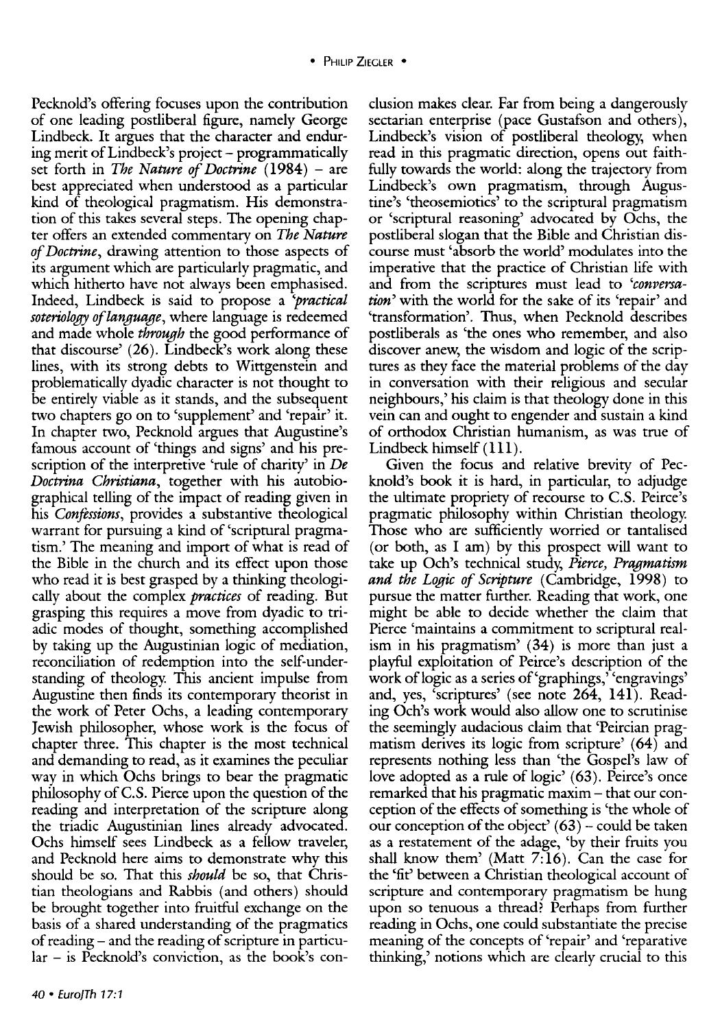Pecknold's offering focuses upon the contribution of one leading postliberal figure, namely George Lindbeck. It argues that the character and enduring merit of Lindbeck's project - programmatically set forth in *The Nature of Doctrine* (1984) - are best appreciated when understood as a particular kind of theological pragmatism. His demonstration of this takes several steps. The opening chapter offers an extended commentary on *The Nature of Doctrine,* drawing attention to those aspects of its argument which are particularly pragmatic, and which hitherto have not always been emphasised. Indeed, Lindbeck is said to propose a *'practical soteriology of language,* where language is redeemed and made whole *through* the good performance of that discourse' (26). Lindbeck's work along these lines, with its strong debts to Wittgenstein and problematically dyadic character is not thought to be entirely viable as it stands, and the subsequent two chapters go on to 'supplement' and 'repair' it. In chapter two, Pecknold argues that Augustine's famous account of 'things and signs' and his prescription of the interpretive 'rule of charity' in *De Doctrina Christiana,* together with his autobiographical telling of the impact of reading given in his *Confessions,* provides a substantive theological warrant for pursuing a kind of 'scriptural pragmatism.' The meaning and import of what is read of the Bible in the church and its effect upon those who read it is best grasped by a thinking theologically about the complex *practices* of reading. But grasping this requires a move from dyadic to triadic modes of thought, something accomplished by taking up the Augustinian logic of mediation, reconciliation of redemption into the self-understanding of theology. This ancient impulse from Augustine then finds its contemporary theorist in the work of Peter Ochs, a leading contemporary Jewish philosopher, whose work is the focus of chapter three. This chapter is the most technical and demanding to read, as it examines the peculiar way in which Ochs brings to bear the pragmatic philosophy of C.S. Pierce upon the question of the reading and interpretation of the scripture along the triadic Augustinian lines already advocated. Ochs himself sees Lindbeck as a fellow traveler, and Pecknold here aims to demonstrate why this should be so. That this *should* be so, that Christian theologians and Rabbis (and others) should be brought together into fruitful exchange on the basis of a shared understanding of the pragmatics of reading- and the reading of scripture in particular - is Pecknold's conviction, as the book's conelusion makes clear. Far from being a dangerously sectarian enterprise (pace Gustafson and others), Lindbeck's vision of postliberal theology, when read in this pragmatic direction, opens out faithfully towards the world: along the trajectory from Lindbeck's own pragmatism, through Augustine's 'theosemiotics' to the scriptural pragmatism or 'scriptural reasoning' advocated by Ochs, the postliberal slogan that the Bible and Christian discourse must 'absorb the world' modulates into the imperative that the practice of Christian life with and from the scriptures must lead to *'conversation'* with the world for the sake of its 'repair' and 'transformation'. Thus, when Pecknold describes postliberals as 'the ones who remember, and also discover anew, the wisdom and logic of the scriptures as they face the material problems of the day in conversation with their religious and secular neighbours,' his claim is that theology done in this vein can and ought to engender and sustain a kind of orthodox Christian humanism, as was true of Lindbeck himself (Ill).

Given the focus and relative brevity of Pecknold's book it is hard, in particular, to adjudge the ultimate propriety of recourse to C.S. Peirce's pragmatic philosophy within Christian theology. Those who are sufficiently worried or tantalised (or both, as I am) by this prospect will want to take up Och's technical study, *Pierce, Pragmatism and the Logic of Scripture* (Cambridge, 1998) to pursue the matter further. Reading that work, one might be able to decide whether the claim that Pierce 'maintains a commitment to scriptural realism in his pragmatism' (34) is more than just a playful exploitation of Peirce's description of the work of logic as a series of 'graphings,' 'engravings' and, yes, 'scriptures' (see note 264, 141). Reading Och's work would also allow one to scrutinise the seemingly audacious claim that 'Peircian pragmatism derives its logic from scripture' (64) and represents nothing less than 'the Gospel's law of love adopted as a rule of logic' (63). Peirce's once remarked that his pragmatic maxim- that our conception of the effects of something is 'the whole of our conception of the object'  $(63)$  – could be taken as a restatement of the adage, 'by their fruits you shall know them' (Matt 7:16). Can the case for the 'fit' between a Christian theological account of scripture and contemporary pragmatism be hung upon so tenuous a thread? Perhaps from further reading in Ochs, one could substantiate the precise meaning of the concepts of 'repair' and 'reparative thinking,' notions which are clearly crucial to this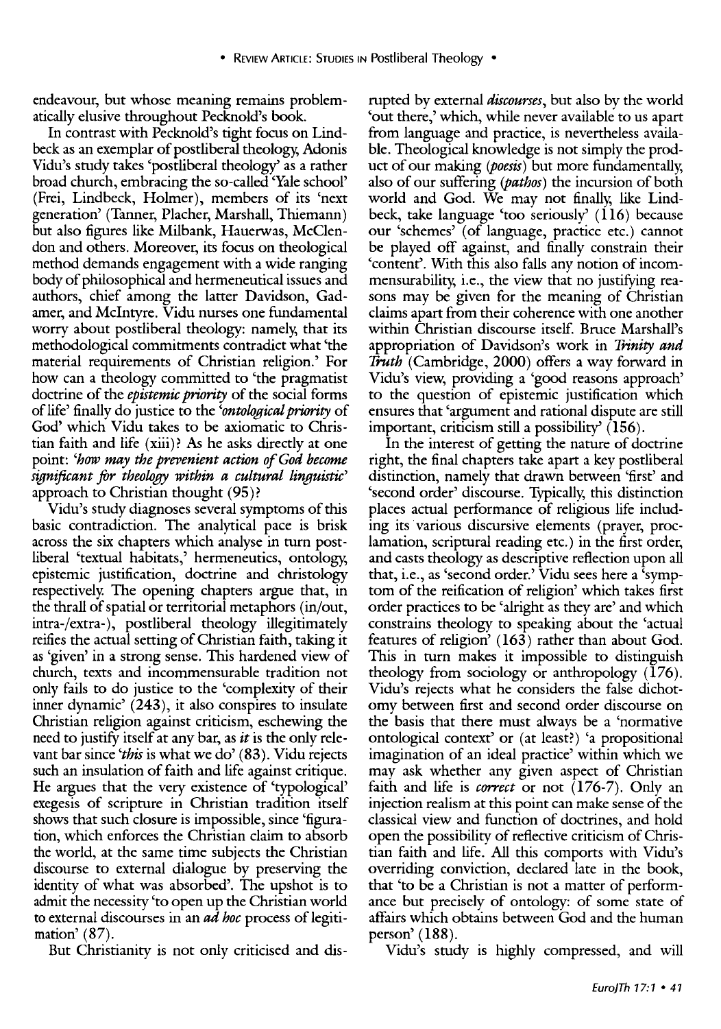endeavour, but whose meaning remains problematically elusive throughout Pecknold's book.

In contrast with Pecknold's tight focus on Lindbeck as an exemplar of postliberal theology, Adonis Vidu's study takes 'postliberal theology' as a rather broad church, embracing the so-called 'Yale school' (Frei, Lindbeck, Holmer), members of its 'next generation' (Tanner, Placher, Marshall, Thiemann) but also figures like Milbank, Hauerwas, McClendon and others. Moreover, its focus on theological method demands engagement with a wide ranging body of philosophical and hermeneutical issues and authors, chief among the latter Davidson, Gadamer, and Mclntyre. Vidu nurses one fundamental worry about postliberal theology: namely, that its methodological commitments contradict what 'the material requirements of Christian religion.' For how can a theology committed to 'the pragmatist doctrine of the *epistemic priority* of the social forms of life' finally do justice to the *'ontological priority* of God' which Vidu takes to be axiomatic to Christian faith and life ( xiii)? As he asks directly at one point: *'how may the prevenient action of God become significant for theology within a cultural linguistic'*  approach to Christian thought (95)?

Vidu's study diagnoses several symptoms of this basic contradiction. The analytical pace is brisk across the six chapters which analyse in turn postliberal 'textual habitats,' hermeneutics, ontology, epistemic justification, doctrine and christology respectively. The opening chapters argue that, in the thrall of spatial or territorial metaphors (in/out, intra-/extra-), postliberal theology illegitimately reifies the actual setting of Christian faith, taking it as 'given' in a strong sense. This hardened view of church, texts and incommensurable tradition not only fails to do justice to the 'complexity of their inner dynamic' (243), it also conspires to insulate Christian religion against criticism, eschewing the need to justify itself at any bar, as *it* is the only relevant bar since *'this* is what we do' (83). Vidu rejects such an insulation of faith and life against critique. He argues that the very existence of 'typological' exegesis of scripture in Christian tradition itself shows that such closure is impossible, since 'figuration, which enforces the Christian claim to absorb the world, at the same time subjects the Christian discourse to external dialogue by preserving the identity of what was absorbed'. The upshot is to admit the necessity 'to open up the Christian world to external discourses in an *ad hoc* process of legitimation' (87).

But Christianity is not only criticised and dis-

rupted by external *discourses,* but also by the world 'out there,' which, while never available to us apart from language and practice, is nevertheless available. Theological knowledge is not simply the product of our making *(poesis)* but more fundamentally, also of our suffering *(pathos)* the incursion of both world and God. We may not finally, like Lindbeck, take language 'too seriously'  $(116)$  because our 'schemes' (of language, practice etc.) cannot be played off against, and finally constrain their 'content'. With this also falls any notion of incommensurability, i.e., the view that no justifying reasons may be given for the meaning of Christian claims apart from their coherence with one another within Christian discourse itself. Bruce Marshall's appropriation of Davidson's work in *Trinity and Truth* (Cambridge, 2000) offers a way forward in Vidu's view, providing a 'good reasons approach' to the question of epistemic justification which ensures that 'argument and rational dispute are still important, criticism still a possibility'  $(156)$ .

In the interest of getting the nature of doctrine right, the final chapters take apart a key postliberal distinction, namely that drawn between 'first' and 'second order' discourse. Typically, this distinction places actual performance of religious life including its various discursive elements (prayer, proclamation, scriptural reading etc.) in the first order, and casts theology as descriptive reflection upon all that, i.e., as 'second order.' Vidu sees here a 'symptom of the reification of religion' which takes first order practices to be 'alright as they are' and which constrains theology to speaking about the 'actual features of religion' (163) rather than about God. This in turn makes it impossible to distinguish theology from sociology or anthropology (176). Vidu's rejects what he considers the false dichotomy between first and second order discourse on the basis that there must always be a 'normative ontological context' or (at least?) 'a propositional imagination of an ideal practice' within which we may ask whether any given aspect of Christian faith and life is *correct* or not (176-7). Only an injection realism at this point can make sense of the classical view and function of doctrines, and hold open the possibility of reflective criticism of Christian faith and life. All this comports with Vidu's overriding conviction, declared late in the book, that 'to be a Christian is not a matter of performance but precisely of ontology: of some state of affairs which obtains between God and the human person' (188).

Vidu's study is highly compressed, and will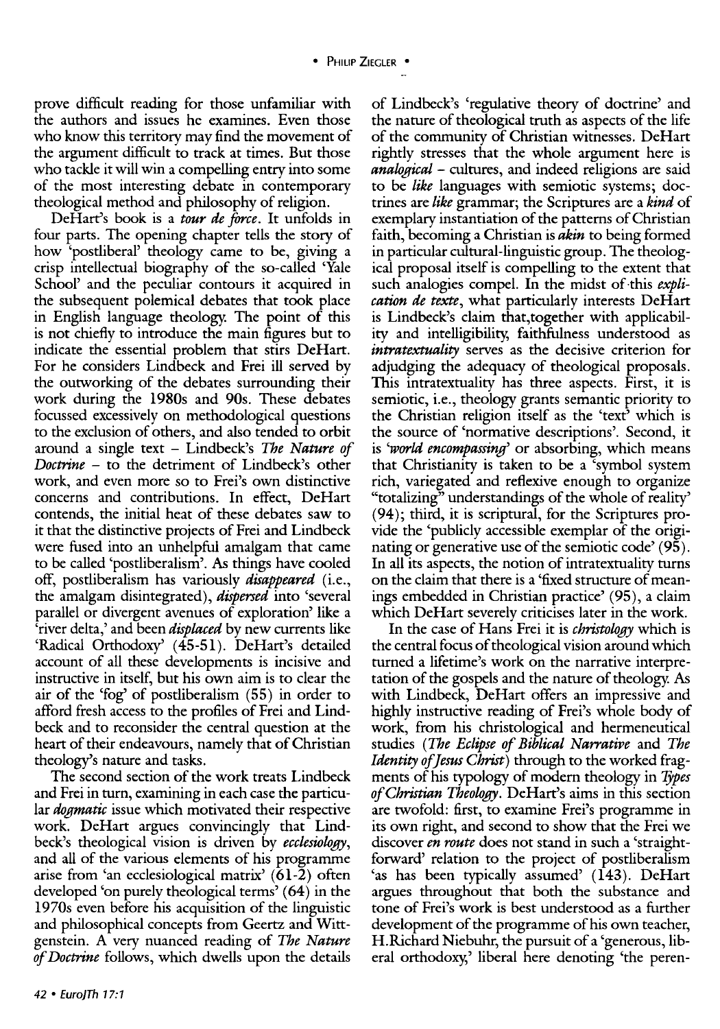prove difficult reading for those unfamiliar with the authors and issues he examines. Even those who know this territory may find the movement of the argument difficult to track at times. But those who tackle it will win a compelling entry into some of the most interesting debate in contemporary theological method and philosophy of religion.

DeHart's book is a *tour de force.* It unfolds in four parts. The opening chapter tells the story of how 'postliberal' theology came to be, giving a crisp intellectual biography of the so-called 'Yale School' and the peculiar contours it acquired in the subsequent polemical debates that took place in English language theology. The point of this is not chiefly to introduce the main figures but to indicate the essential problem that stirs DeHart. For he considers Lindbeck and Frei ill served by the outworking of the debates surrounding their work during the 1980s and 90s. These debates focussed excessively on methodological questions to the exclusion of others, and also tended to orbit around a single text - Lindbeck's *The Nature of Doctrine* - to the detriment of Lindbeck's other work, and even more so to Frei's own distinctive concerns and contributions. In effect, DeHart contends, the initial heat of these debates saw to it that the distinctive projects of Frei and Lindbeck were fused into an unhelpful amalgam that came to be called 'postliberalism'. *As* things have cooled off, postliberalism has variously *disappeared* (i.e., the amalgam disintegrated), *dispersed* into 'several parallel or divergent avenues of exploration' like a 'river delta,' and been *displaced* by new currents like 'Radical Orthodoxy' (45-51). DeHart's detailed account of all these developments is incisive and instructive in itself, but his own aim is to clear the air of the 'fog' of postliberalism (55) in order to afford fresh access to the profiles of Frei and Lindbeck and to reconsider the central question at the heart of their endeavours, namely that of Christian theology's nature and tasks.

The second section of the work treats Lindbeck and Frei in turn, examining in each case the particular *dogmatic* issue which motivated their respective work. DeHart argues convincingly that Lindbeck's theological vision is driven by *ecclesiology,*  and all of the various elements of his programme arise from 'an ecclesiological matrix' (61-2) often developed 'on purely theological terms' (64) in the 1970s even before his acquisition of the linguistic and philosophical concepts from Geertz and Wittgenstein. A very nuanced reading of *The Nature of Doctrine* follows, which dwells upon the details

of Lindbeck's 'regulative theory of doctrine' and the nature of theological truth as aspects of the life of the community of Christian witnesses. DeHart rightly stresses that the whole argument here is *analogical* - cultures, and indeed religions are said to be *like* languages with semiotic systems; doctrines are *like* grammar; the Scriptures are a *kind* of exemplary instantiation of the patterns of Christian faith, becoming a Christian is *akin* to being formed in particular cultural-linguistic group. The theological proposal itself is compelling to the extent that such analogies compel. In the midst of·this *explication de texte,* what particularly interests DeHart is Lindbeck's claim that,together with applicability and intelligibility, faithfulness understood as *intratextuality* serves as the decisive criterion for adjudging the adequacy of theological proposals. This intratextuality has three aspects. First, it is semiotic, i.e., theology grants semantic priority to the Christian religion itself as the 'text' which is the source of 'normative descriptions'. Second, it is *'world encompassing'* or absorbing, which means that Christianity is taken to be a 'symbol system rich, variegated and reflexive enough to organize "totalizing" understandings of the whole of reality' (94); third, it is scriptural, for the Scriptures provide the 'publicly accessible exemplar of the originating or generative use of the semiotic code' (95). In all its aspects, the notion of intratextuality turns on the claim that there is a 'fixed structure of meanings embedded in Christian practice' (95), a claim which DeHart severely criticises later in the work.

In the case of Hans Frei it is *christology* which is the central focus of theological vision around which turned a lifetime's work on the narrative interpretation of the gospels and the nature of theology. *As*  with Lindbeck, DeHart offers an impressive and highly instructive reading of Frei's whole body of work, from his christological and hermeneutical studies *(The Eclipse of Biblical Narrative* and *The Identity of Jesus Christ)* through to the worked fragments of his typology of modern theology in *1jpes ofChristian Theology.* DeHart's aims in this section are twofold: first, to examine Frei's programme in its own right, and second to show that the Frei we discover *en route* does not stand in such a 'straightforward' relation to the project of postliberalism 'as has been typically assumed' (143). DeHart argues throughout that both the substance and tone of Frei's work is best understood as a further development of the programme of his own teacher, H. Richard Niebuhr, the pursuit of a 'generous, liberal orthodoxy,' liberal here denoting 'the peren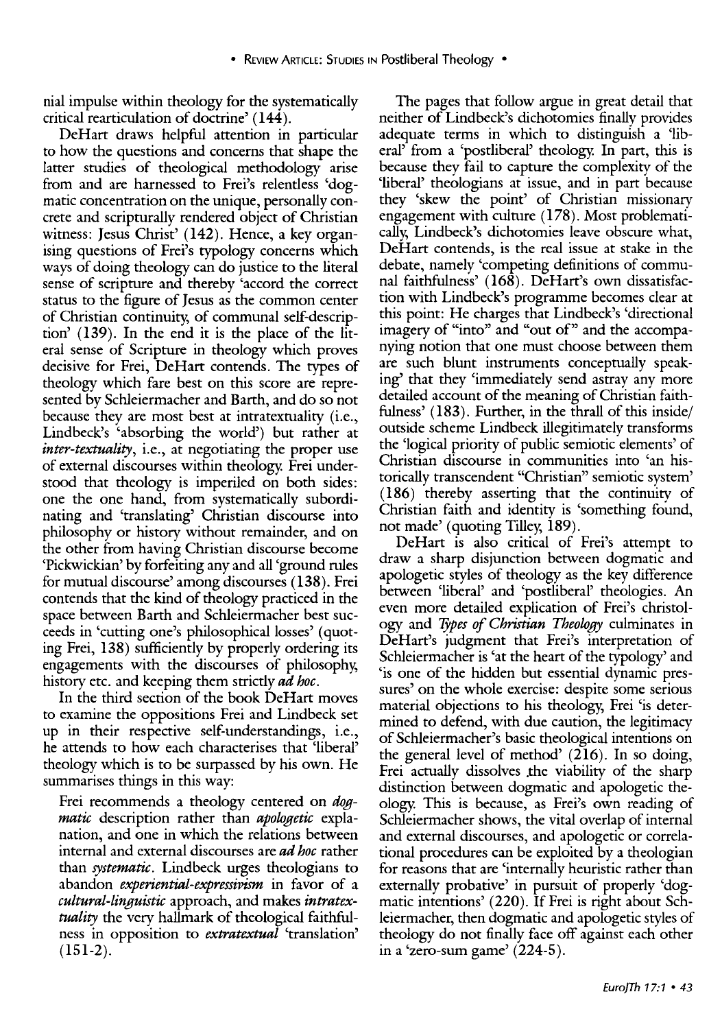nial impulse within theology for the systematically critical rearticulation of doctrine' (144).

DeHart draws helpful attention in particular to how the questions and concerns that shape the latter studies of theological methodology arise from and are harnessed to Frei's relentless 'dogmatic concentration on the unique, personally concrete and scripturally rendered object of Christian witness: Jesus Christ' (142). Hence, a key organising questions of Frei's typology concerns which ways of doing theology can do justice to the literal sense of scripture and thereby 'accord the correct status to the figure of Jesus as the common center of Christian continuity, of communal self-description' (139). In the end it is the place of the literal sense of Scripture in theology which proves decisive for Frei, DeHart contends. The types of theology which fare best on this score are represented by Schleiermacher and Barth, and do so not because they are most best at intratextuality (i.e., Lindbeck's 'absorbing the world') but rather at *inter-textuality,* i.e., at negotiating the proper use of external discourses within theology. Frei understood that theology is imperiled on both sides: one the one hand, from systematically subordinating and 'translating' Christian discourse into philosophy or history without remainder, and on the other from having Christian discourse become 'Pickwickian' by forfeiting any and all 'ground rules for mutual discourse' among discourses (138). Frei contends that the kind of theology practiced in the space between Barth and Schleiermacher best succeeds in 'cutting one's philosophical losses' ( quoting Frei, 138) sufficiently by properly ordering its engagements with the discourses of philosophy, history etc. and keeping them strictly *ad hoc.* 

In the third section of the book DeHart moves to examine the oppositions Frei and Lindbeck set up in their respective self-understandings, i.e., he attends to how each characterises that 'liberal' theology which is to be surpassed by his own. He summarises things in this way:

Frei recommends a theology centered on *dogmatic* description rather than *apologetic* explanation, and one in which the relations between internal and external discourses are *ad hoc* rather than *systematic.* Lindbeck urges theologians to abandon *experiential-expressivism* in favor of a *cultural-linguistic* approach, and makes *intratextuality* the very hallmark of theological faithfulness in opposition to *extratextual* 'translation' (151-2).

The pages that follow argue in great detail that neither of Lindbeck's dichotomies finally provides adequate terms in which to distinguish a 'liberal' from a 'postliberal' theology. In part, this is because they fail to capture the complexity of the 'liberal' theologians at issue, and in part because they 'skew the point' of Christian missionary engagement with culture (178). Most problematically, Lindbeck's dichotomies leave obscure what, DeHart contends, is the real issue at stake in the debate, namely 'competing definitions of communal faithfulness' (168). DeHart's own dissatisfaction with Lindbeck's programme becomes clear at this point: He charges that Lindbeck's 'directional imagery of "into" and "out of" and the accompanying notion that one must choose between them are such blunt instruments conceptually speaking' that they 'immediately send astray any more detailed account of the meaning of Christian faithfulness' ( 183). Further, in the thrall of this inside/ outside scheme Lindbeck illegitimately transforms the 'logical priority of public semiotic elements' of Christian discourse in communities into 'an historically transcendent "Christian" semiotic system' (186) thereby asserting that the continuity of Christian faith and identity is 'something found, not made' (quoting Tilley, 189).

DeHart is also critical of Frei's attempt to draw a sharp disjunction between dogmatic and apologetic styles of theology as the key difference between 'liberal' and 'postliberal' theologies. An even more detailed explication of Frei's christology and *Ijpes of Christian Theology* culminates in DeHart's judgment that Frei's interpretation of Schleiermacher is 'at the heart of the typology' and 'is one of the hidden but essential dynamic pressures' on the whole exercise: despite some serious material objections to his theology, Frei 'is determined to defend, with due caution, the legitimacy of Schleiermacher's basic theological intentions on the general level of method' (216). In so doing, Frei actually dissolves .the viability of the sharp distinction between dogmatic and apologetic theology. This is because, as Frei's own reading of Schleiermacher shows, the vital overlap of internal and external discourses, and apologetic or correlational procedures can be exploited by a theologian for reasons that are 'internally heuristic rather than externally probative' in pursuit of properly 'dogmatic intentions' (220). If Frei is right about Schleiermacher, then dogmatic and apologetic styles of theology do not finally face off against each other in a 'zero-sum game' (224-5).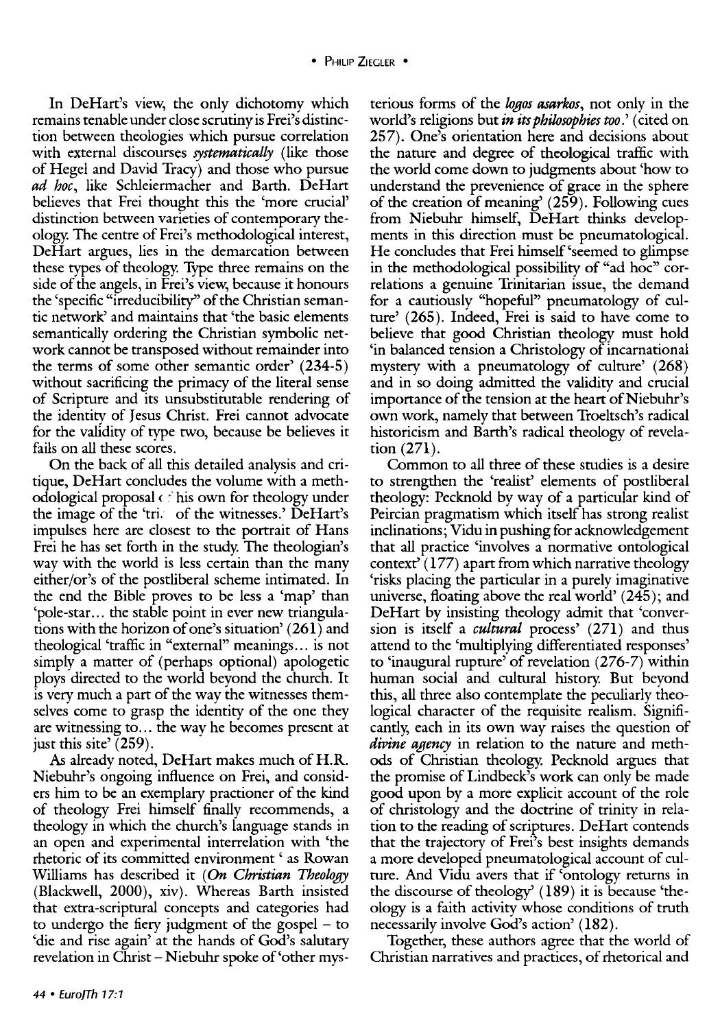In DeHart's view, the only dichotomy which remains tenable under close scrutiny is Frei's distinction between theologies which pursue correlation with external discourses *systematically* (like those of Hegel and David Tracy) and those who pursue *ad hoc,* like Schleiermacher and Barth. DeHart believes that Frei thought this the 'more crucial' distinction between varieties of contemporary theology. The centre of Frei's methodological interest, DeHart argues, lies in the demarcation between these types of theology. Type three remains on the side of the angels, in Frei's view, because it honours the 'specific "irreducibility'' of the Christian semantic network' and maintains that 'the basic elements semantically ordering the Christian symbolic network cannot be transposed without remainder into the terms of some other semantic order' (234-5) without sacrificing the primacy of the literal sense of Scripture and its unsubstitutable rendering of the identity of Jesus Christ. Frei cannot advocate for the validity of type two, because be believes it fails on all these scores.

On the back of all this detailed analysis and critique, DeHart concludes the volume with a methodological proposal  $\epsilon$  his own for theology under the image of the 'tri. of the witnesses.' DeHart's impulses here are closest to the portrait of Hans Frei he has set forth in the study. The theologian's way with the world is less certain than the many either/or's of the postliberal scheme intimated. In the end the Bible proves to be less a 'map' than 'pole-star ... the stable point in ever new triangulations with the horizon of one's situation' ( 261) and theological 'traffic in "external" meanings ... is not simply a matter of (perhaps optional) apologetic ploys directed to the world beyond the church. It is very much a part of the way the witnesses themselves come to grasp the identity of the one they are witnessing to ... the way he becomes present at just this site' (259).

*As* already noted, DeHart makes much of H.R. Niebuhr's ongoing influence on Frei, and considers him to be an exemplary practioner of the kind of theology Frei himself finally recommends, a theology in which the church's language stands in an open and experimental interrelation with 'the rhetoric of its committed environment ' as Rowan Williams has described it (On *Christian Theology* (Blackwell, 2000), xiv). Whereas Barth insisted that extra-scriptural concepts and categories had to undergo the fiery judgment of the gospel - to 'die and rise again' at the hands of God's salutary revelation in Christ- Niebuhr spoke of'other mys-

terious forms of the *wgos asarkos,* not only in the world's religions but *in its philosophies too*.' (cited on 257). One's orientation here and decisions about the nature and degree of theological traffic with the world come down to judgments about 'how to understand the prevenience of grace in the sphere of the creation of meaning' (259). Following cues from Niebuhr himself, DeHart thinks developments in this direction must be pneumatological. He concludes that Frei himself 'seemed to glimpse in the methodological possibility of "ad hoc" correlations a genuine Trinitarian issue, the demand for a cautiously "hopeful" pneumatology of culture' (265). Indeed, Frei is said to have come to believe that good Christian theology must hold 'in balanced tension a Christology of incarnational mystery with a pneumatology of culture' (268) and in so doing admitted the validity and crucial importance of the tension at the heart of Niebuhr's own work, namely that between Troeltsch's radical historicism and Barth's radical theology of revelation (271).

Common to all three of these studies is a desire to strengthen the 'realist' elements of postliberal theology: Pecknold by way of a particular kind of Peircian pragmatism which itself has strong realist inclinations; Vidu in pushing for acknowledgement that all practice 'involves a normative ontological context<sup> $\bar{c}$ </sup> (177) apart from which narrative theology 'risks placing the particular in a purely imaginative universe, floating above the real world' (245); and DeHart by insisting theology admit that 'conversion is itself a *cultural* process' (271) and thus attend to the 'multiplying differentiated responses' to 'inaugural rupture' of revelation (276-7) within human social and cultural history. But beyond this, all three also contemplate the peculiarly theological character of the requisite realism. Significantly, each in its own way raises the question of *divine agency* in relation to the nature and methods of Christian theology. Pecknold argues that the promise of Lindbeck's work can only be made good upon by a more explicit account of the role of christology and the doctrine of trinity in relation to the reading of scriptures. DeHart contends that the trajectory of Frei's best insights demands a more developed pneumatological account of culture. And Vidu avers that if 'ontology returns in the discourse of theology' (189) it is because 'theology is a faith activity whose conditions of truth necessarily involve God's action' (182).

Together, these authors agree that the world of Christian narratives and practices, of rhetorical and